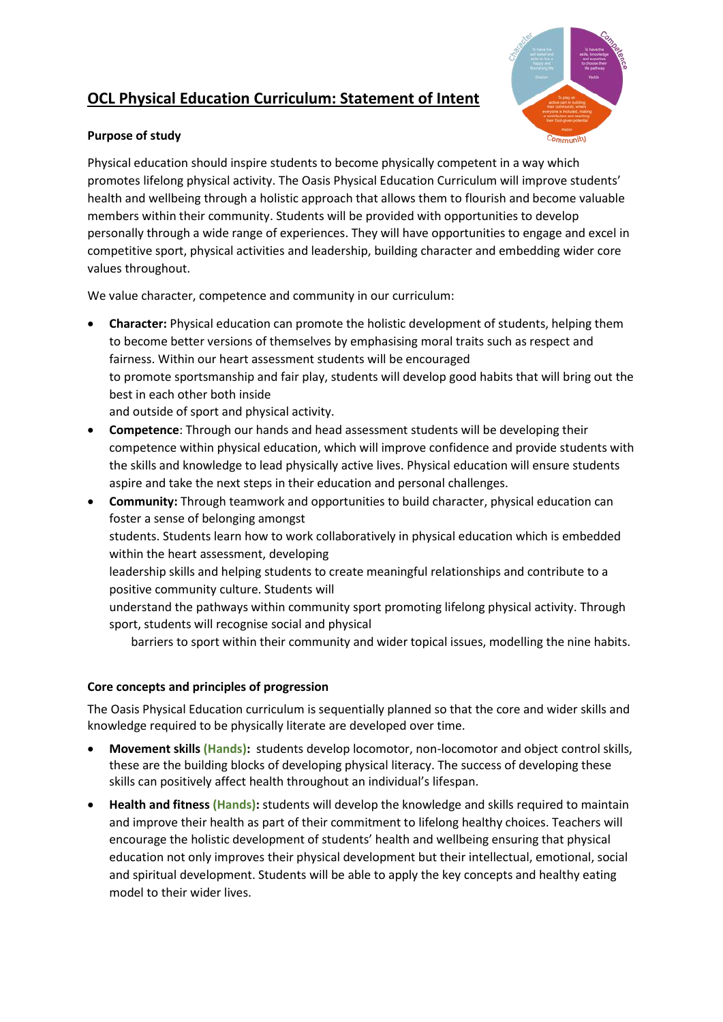# **OCL Physical Education Curriculum: Statement of Intent**



### **Purpose of study**

Physical education should inspire students to become physically competent in a way which promotes lifelong physical activity. The Oasis Physical Education Curriculum will improve students' health and wellbeing through a holistic approach that allows them to flourish and become valuable members within their community. Students will be provided with opportunities to develop personally through a wide range of experiences. They will have opportunities to engage and excel in competitive sport, physical activities and leadership, building character and embedding wider core values throughout.

We value character, competence and community in our curriculum:

- **Character:** Physical education can promote the holistic development of students, helping them to become better versions of themselves by emphasising moral traits such as respect and fairness. Within our heart assessment students will be encouraged to promote sportsmanship and fair play, students will develop good habits that will bring out the best in each other both inside and outside of sport and physical activity.
- **Competence**: Through our hands and head assessment students will be developing their competence within physical education, which will improve confidence and provide students with the skills and knowledge to lead physically active lives. Physical education will ensure students aspire and take the next steps in their education and personal challenges.
- **Community:** Through teamwork and opportunities to build character, physical education can foster a sense of belonging amongst students. Students learn how to work collaboratively in physical education which is embedded within the heart assessment, developing leadership skills and helping students to create meaningful relationships and contribute to a positive community culture. Students will understand the pathways within community sport promoting lifelong physical activity. Through
	- sport, students will recognise social and physical

barriers to sport within their community and wider topical issues, modelling the nine habits.

## **Core concepts and principles of progression**

The Oasis Physical Education curriculum is sequentially planned so that the core and wider skills and knowledge required to be physically literate are developed over time.

- **Movement skills (Hands):** students develop locomotor, non-locomotor and object control skills, these are the building blocks of developing physical literacy. The success of developing these skills can positively affect health throughout an individual's lifespan.
- **Health and fitness (Hands):** students will develop the knowledge and skills required to maintain and improve their health as part of their commitment to lifelong healthy choices. Teachers will encourage the holistic development of students' health and wellbeing ensuring that physical education not only improves their physical development but their intellectual, emotional, social and spiritual development. Students will be able to apply the key concepts and healthy eating model to their wider lives.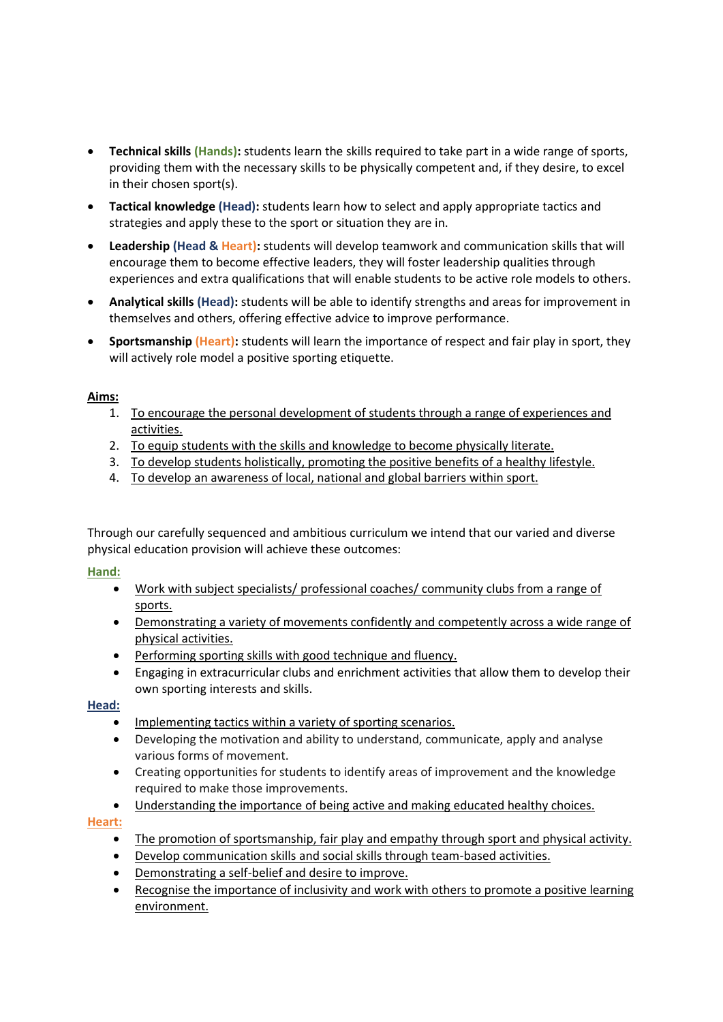- **Technical skills (Hands):** students learn the skills required to take part in a wide range of sports, providing them with the necessary skills to be physically competent and, if they desire, to excel in their chosen sport(s).
- **Tactical knowledge (Head):** students learn how to select and apply appropriate tactics and strategies and apply these to the sport or situation they are in.
- **Leadership (Head & Heart):** students will develop teamwork and communication skills that will encourage them to become effective leaders, they will foster leadership qualities through experiences and extra qualifications that will enable students to be active role models to others.
- **Analytical skills (Head):** students will be able to identify strengths and areas for improvement in themselves and others, offering effective advice to improve performance.
- **Sportsmanship (Heart):** students will learn the importance of respect and fair play in sport, they will actively role model a positive sporting etiquette.

#### **Aims:**

- 1. To encourage the personal development of students through a range of experiences and activities.
- 2. To equip students with the skills and knowledge to become physically literate.
- 3. To develop students holistically, promoting the positive benefits of a healthy lifestyle.
- 4. To develop an awareness of local, national and global barriers within sport.

Through our carefully sequenced and ambitious curriculum we intend that our varied and diverse physical education provision will achieve these outcomes:

#### **Hand:**

- Work with subject specialists/ professional coaches/ community clubs from a range of sports.
- Demonstrating a variety of movements confidently and competently across a wide range of physical activities.
- Performing sporting skills with good technique and fluency.
- Engaging in extracurricular clubs and enrichment activities that allow them to develop their own sporting interests and skills.

#### **Head:**

- Implementing tactics within a variety of sporting scenarios.
- Developing the motivation and ability to understand, communicate, apply and analyse various forms of movement.
- Creating opportunities for students to identify areas of improvement and the knowledge required to make those improvements.
- Understanding the importance of being active and making educated healthy choices.

#### **Heart:**

- The promotion of sportsmanship, fair play and empathy through sport and physical activity.
- Develop communication skills and social skills through team-based activities.
- Demonstrating a self-belief and desire to improve.
- Recognise the importance of inclusivity and work with others to promote a positive learning environment.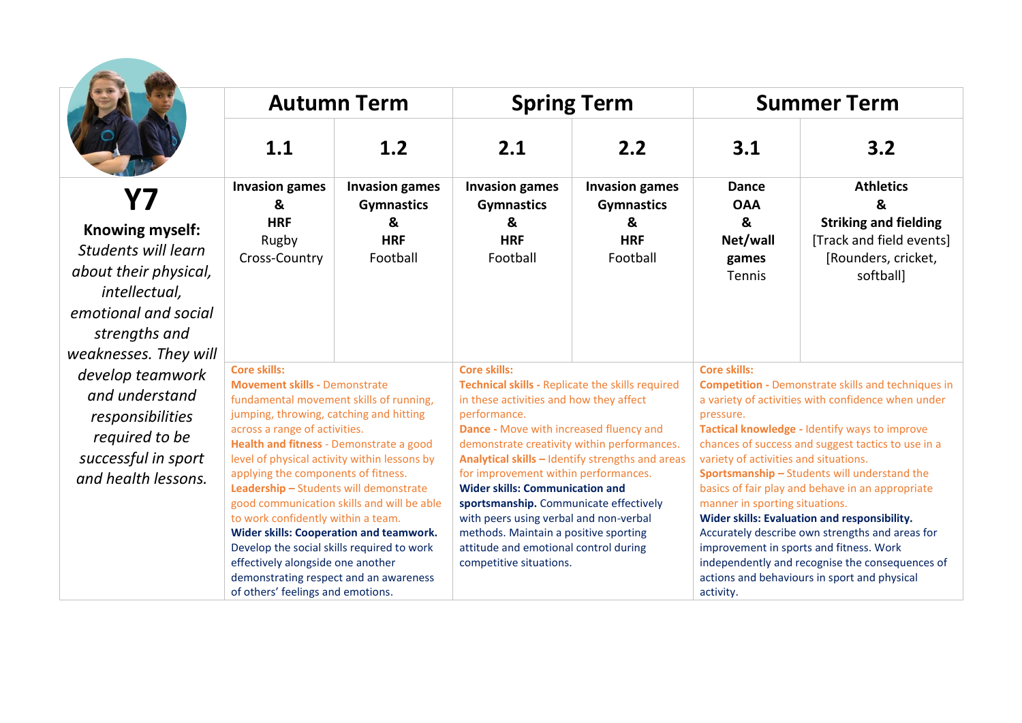|                                                                                                                                                    | <b>Autumn Term</b>                                                                                                                                                                                                                                                                                                                                                                                                                                                                                                                                                                                                                                                     |                                                                           | <b>Spring Term</b>                                                                                                                                                                                                                                                                                                                                                                                                                                                                                                                                                  |                                                                           | <b>Summer Term</b>                                                                                                                                                                                                                                                                                                                                                                                                                                                                                                                                                                                                                                                                                      |                                                                                                                      |
|----------------------------------------------------------------------------------------------------------------------------------------------------|------------------------------------------------------------------------------------------------------------------------------------------------------------------------------------------------------------------------------------------------------------------------------------------------------------------------------------------------------------------------------------------------------------------------------------------------------------------------------------------------------------------------------------------------------------------------------------------------------------------------------------------------------------------------|---------------------------------------------------------------------------|---------------------------------------------------------------------------------------------------------------------------------------------------------------------------------------------------------------------------------------------------------------------------------------------------------------------------------------------------------------------------------------------------------------------------------------------------------------------------------------------------------------------------------------------------------------------|---------------------------------------------------------------------------|---------------------------------------------------------------------------------------------------------------------------------------------------------------------------------------------------------------------------------------------------------------------------------------------------------------------------------------------------------------------------------------------------------------------------------------------------------------------------------------------------------------------------------------------------------------------------------------------------------------------------------------------------------------------------------------------------------|----------------------------------------------------------------------------------------------------------------------|
|                                                                                                                                                    | 1.1                                                                                                                                                                                                                                                                                                                                                                                                                                                                                                                                                                                                                                                                    | 1.2                                                                       | 2.1                                                                                                                                                                                                                                                                                                                                                                                                                                                                                                                                                                 | 2.2                                                                       | 3.1                                                                                                                                                                                                                                                                                                                                                                                                                                                                                                                                                                                                                                                                                                     | 3.2                                                                                                                  |
| Knowing myself:<br>Students will learn<br>about their physical,<br>intellectual,<br>emotional and social<br>strengths and<br>weaknesses. They will | <b>Invasion games</b><br>&<br><b>HRF</b><br>Rugby<br>Cross-Country                                                                                                                                                                                                                                                                                                                                                                                                                                                                                                                                                                                                     | <b>Invasion games</b><br><b>Gymnastics</b><br>&<br><b>HRF</b><br>Football | <b>Invasion games</b><br><b>Gymnastics</b><br>&<br><b>HRF</b><br>Football                                                                                                                                                                                                                                                                                                                                                                                                                                                                                           | <b>Invasion games</b><br><b>Gymnastics</b><br>&<br><b>HRF</b><br>Football | <b>Dance</b><br><b>OAA</b><br>&<br>Net/wall<br>games<br>Tennis                                                                                                                                                                                                                                                                                                                                                                                                                                                                                                                                                                                                                                          | <b>Athletics</b><br>&<br><b>Striking and fielding</b><br>[Track and field events]<br>[Rounders, cricket,<br>softball |
| develop teamwork<br>and understand<br>responsibilities<br>required to be<br>successful in sport<br>and health lessons.                             | <b>Core skills:</b><br><b>Movement skills - Demonstrate</b><br>fundamental movement skills of running,<br>jumping, throwing, catching and hitting<br>across a range of activities.<br>Health and fitness - Demonstrate a good<br>level of physical activity within lessons by<br>applying the components of fitness.<br>Leadership - Students will demonstrate<br>good communication skills and will be able<br>to work confidently within a team.<br><b>Wider skills: Cooperation and teamwork.</b><br>Develop the social skills required to work<br>effectively alongside one another<br>demonstrating respect and an awareness<br>of others' feelings and emotions. |                                                                           | <b>Core skills:</b><br>Technical skills - Replicate the skills required<br>in these activities and how they affect<br>performance.<br>Dance - Move with increased fluency and<br>demonstrate creativity within performances.<br>Analytical skills - Identify strengths and areas<br>for improvement within performances.<br><b>Wider skills: Communication and</b><br>sportsmanship. Communicate effectively<br>with peers using verbal and non-verbal<br>methods. Maintain a positive sporting<br>attitude and emotional control during<br>competitive situations. |                                                                           | <b>Core skills:</b><br><b>Competition - Demonstrate skills and techniques in</b><br>a variety of activities with confidence when under<br>pressure.<br>Tactical knowledge - Identify ways to improve<br>chances of success and suggest tactics to use in a<br>variety of activities and situations.<br>Sportsmanship - Students will understand the<br>basics of fair play and behave in an appropriate<br>manner in sporting situations.<br>Wider skills: Evaluation and responsibility.<br>Accurately describe own strengths and areas for<br>improvement in sports and fitness. Work<br>independently and recognise the consequences of<br>actions and behaviours in sport and physical<br>activity. |                                                                                                                      |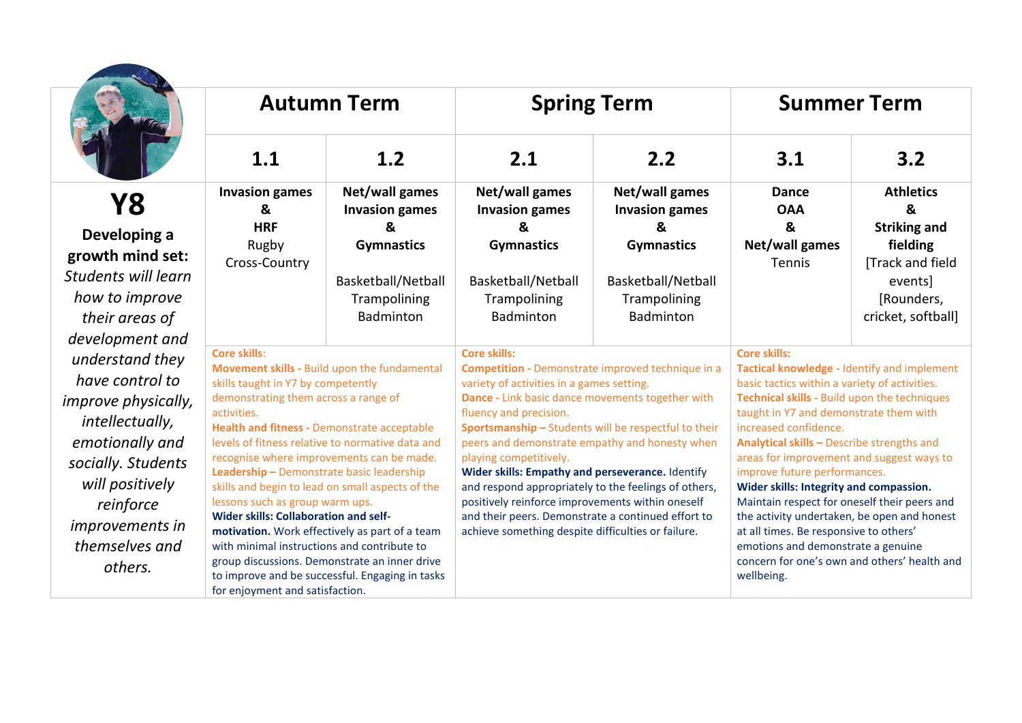

|                                                          | <b>Autumn Term</b>                                                                                                                                                                                                                                                                                                                                                                                                                                                                                                                                                                                                                                                                                                                           |  |                                                                                                                                                                                                                                                                                                                                                                                                                                                                                                                                                                                                                            | <b>Spring Term</b> | <b>Summer Term</b>                                                                                                                                                                                                                                                                                                                                                                                                                                                                                                                                                                                                                                        |     |
|----------------------------------------------------------|----------------------------------------------------------------------------------------------------------------------------------------------------------------------------------------------------------------------------------------------------------------------------------------------------------------------------------------------------------------------------------------------------------------------------------------------------------------------------------------------------------------------------------------------------------------------------------------------------------------------------------------------------------------------------------------------------------------------------------------------|--|----------------------------------------------------------------------------------------------------------------------------------------------------------------------------------------------------------------------------------------------------------------------------------------------------------------------------------------------------------------------------------------------------------------------------------------------------------------------------------------------------------------------------------------------------------------------------------------------------------------------------|--------------------|-----------------------------------------------------------------------------------------------------------------------------------------------------------------------------------------------------------------------------------------------------------------------------------------------------------------------------------------------------------------------------------------------------------------------------------------------------------------------------------------------------------------------------------------------------------------------------------------------------------------------------------------------------------|-----|
|                                                          | 1.1<br>1.2<br><b>Invasion games</b><br>Net/wall games<br>&<br><b>Invasion games</b><br><b>HRF</b><br>$\mathbf{z}$<br>Rugby<br><b>Gymnastics</b><br>Cross-Country<br>Basketball/Netball<br>Trampolining<br>Badminton                                                                                                                                                                                                                                                                                                                                                                                                                                                                                                                          |  | 2.1<br>2.2<br>Net/wall games<br>Net/wall games<br><b>Invasion games</b><br><b>Invasion games</b><br>&<br>ୟ<br><b>Gymnastics</b><br><b>Gymnastics</b><br>Basketball/Netball<br>Basketball/Netball<br>Trampolining<br>Trampolining<br>Badminton<br>Badminton                                                                                                                                                                                                                                                                                                                                                                 |                    | 3.1                                                                                                                                                                                                                                                                                                                                                                                                                                                                                                                                                                                                                                                       | 3.2 |
| set:<br>earn<br>we                                       |                                                                                                                                                                                                                                                                                                                                                                                                                                                                                                                                                                                                                                                                                                                                              |  |                                                                                                                                                                                                                                                                                                                                                                                                                                                                                                                                                                                                                            |                    | <b>Athletics</b><br><b>Dance</b><br>&<br><b>OAA</b><br>&<br><b>Striking and</b><br>Net/wall games<br>fielding<br>[Track and field<br>Tennis<br>events]<br>[Rounders,<br>cricket, softball]                                                                                                                                                                                                                                                                                                                                                                                                                                                                |     |
| and<br>hey<br>to<br>:ally,<br>and<br>ents<br>s in<br>ınd | <b>Core skills:</b><br>Movement skills - Build upon the fundamental<br>skills taught in Y7 by competently<br>demonstrating them across a range of<br>activities.<br>Health and fitness - Demonstrate acceptable<br>levels of fitness relative to normative data and<br>recognise where improvements can be made.<br>Leadership - Demonstrate basic leadership<br>skills and begin to lead on small aspects of the<br>lessons such as group warm ups.<br><b>Wider skills: Collaboration and self-</b><br>motivation. Work effectively as part of a team<br>with minimal instructions and contribute to<br>group discussions. Demonstrate an inner drive<br>to improve and be successful. Engaging in tasks<br>for enjoyment and satisfaction. |  | <b>Core skills:</b><br><b>Competition - Demonstrate improved technique in a</b><br>variety of activities in a games setting.<br>Dance - Link basic dance movements together with<br>fluency and precision.<br>Sportsmanship - Students will be respectful to their<br>peers and demonstrate empathy and honesty when<br>playing competitively.<br>Wider skills: Empathy and perseverance. Identify<br>and respond appropriately to the feelings of others,<br>positively reinforce improvements within oneself<br>and their peers. Demonstrate a continued effort to<br>achieve something despite difficulties or failure. |                    | <b>Core skills:</b><br>Tactical knowledge - Identify and implement<br>basic tactics within a variety of activities.<br>Technical skills - Build upon the techniques<br>taught in Y7 and demonstrate them with<br>increased confidence.<br>Analytical skills - Describe strengths and<br>areas for improvement and suggest ways to<br>improve future performances.<br>Wider skills: Integrity and compassion.<br>Maintain respect for oneself their peers and<br>the activity undertaken, be open and honest<br>at all times. Be responsive to others'<br>emotions and demonstrate a genuine<br>concern for one's own and others' health and<br>wellbeing. |     |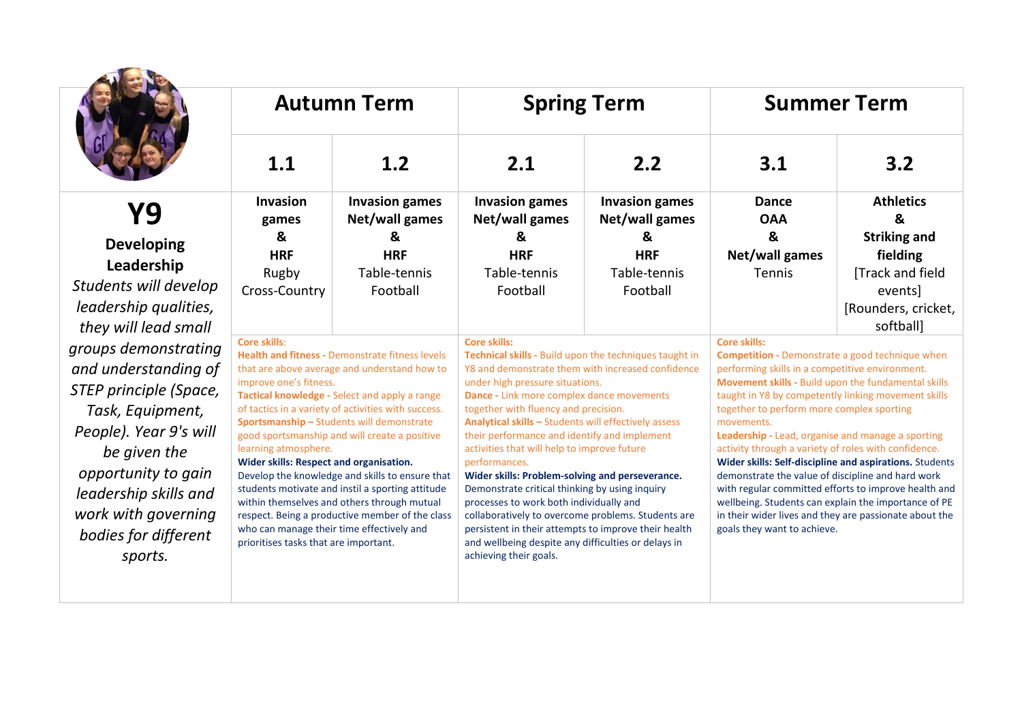|                                               | <b>Autumn Term</b>                                                                                                                                                                                                                                                                                                                                                                                                                                                                                                                                                                                                                                                                                       |                                         | <b>Spring Term</b>                                                                                                                                                                                                                                                                                                                                                                                                                                                                                                                                                                                                                                                                                                               |                                         | <b>Summer Term</b>                                                                                                                                                                                                                                                                                                                                                                                                                                                                                                                                                                                          |                                  |  |
|-----------------------------------------------|----------------------------------------------------------------------------------------------------------------------------------------------------------------------------------------------------------------------------------------------------------------------------------------------------------------------------------------------------------------------------------------------------------------------------------------------------------------------------------------------------------------------------------------------------------------------------------------------------------------------------------------------------------------------------------------------------------|-----------------------------------------|----------------------------------------------------------------------------------------------------------------------------------------------------------------------------------------------------------------------------------------------------------------------------------------------------------------------------------------------------------------------------------------------------------------------------------------------------------------------------------------------------------------------------------------------------------------------------------------------------------------------------------------------------------------------------------------------------------------------------------|-----------------------------------------|-------------------------------------------------------------------------------------------------------------------------------------------------------------------------------------------------------------------------------------------------------------------------------------------------------------------------------------------------------------------------------------------------------------------------------------------------------------------------------------------------------------------------------------------------------------------------------------------------------------|----------------------------------|--|
|                                               | 1.1                                                                                                                                                                                                                                                                                                                                                                                                                                                                                                                                                                                                                                                                                                      | 1.2                                     | 2.1                                                                                                                                                                                                                                                                                                                                                                                                                                                                                                                                                                                                                                                                                                                              | 2.2                                     | 3.1                                                                                                                                                                                                                                                                                                                                                                                                                                                                                                                                                                                                         | 3.2                              |  |
| Y9                                            | <b>Invasion</b><br>games                                                                                                                                                                                                                                                                                                                                                                                                                                                                                                                                                                                                                                                                                 | <b>Invasion games</b><br>Net/wall games | <b>Invasion games</b><br>Net/wall games                                                                                                                                                                                                                                                                                                                                                                                                                                                                                                                                                                                                                                                                                          | <b>Invasion games</b><br>Net/wall games | <b>Dance</b><br><b>OAA</b>                                                                                                                                                                                                                                                                                                                                                                                                                                                                                                                                                                                  | <b>Athletics</b><br>&            |  |
| <b>Developing</b>                             | &                                                                                                                                                                                                                                                                                                                                                                                                                                                                                                                                                                                                                                                                                                        | &                                       | &                                                                                                                                                                                                                                                                                                                                                                                                                                                                                                                                                                                                                                                                                                                                | &                                       | &                                                                                                                                                                                                                                                                                                                                                                                                                                                                                                                                                                                                           | <b>Striking and</b>              |  |
| Leadership                                    | <b>HRF</b>                                                                                                                                                                                                                                                                                                                                                                                                                                                                                                                                                                                                                                                                                               | <b>HRF</b>                              | <b>HRF</b>                                                                                                                                                                                                                                                                                                                                                                                                                                                                                                                                                                                                                                                                                                                       | <b>HRF</b>                              | Net/wall games                                                                                                                                                                                                                                                                                                                                                                                                                                                                                                                                                                                              | fielding                         |  |
| Students will develop                         | Rugby<br>Cross-Country                                                                                                                                                                                                                                                                                                                                                                                                                                                                                                                                                                                                                                                                                   | Table-tennis<br>Football                | Table-tennis<br>Football                                                                                                                                                                                                                                                                                                                                                                                                                                                                                                                                                                                                                                                                                                         | Table-tennis<br>Football                | <b>Tennis</b>                                                                                                                                                                                                                                                                                                                                                                                                                                                                                                                                                                                               | [Track and field<br>events]      |  |
| leadership qualities,<br>they will lead small |                                                                                                                                                                                                                                                                                                                                                                                                                                                                                                                                                                                                                                                                                                          |                                         |                                                                                                                                                                                                                                                                                                                                                                                                                                                                                                                                                                                                                                                                                                                                  |                                         |                                                                                                                                                                                                                                                                                                                                                                                                                                                                                                                                                                                                             | [Rounders, cricket,<br>softball] |  |
| groups demonstrating                          | <b>Core skills:</b>                                                                                                                                                                                                                                                                                                                                                                                                                                                                                                                                                                                                                                                                                      |                                         | <b>Core skills:</b>                                                                                                                                                                                                                                                                                                                                                                                                                                                                                                                                                                                                                                                                                                              |                                         | <b>Core skills:</b>                                                                                                                                                                                                                                                                                                                                                                                                                                                                                                                                                                                         |                                  |  |
| and understanding of                          | <b>Health and fitness - Demonstrate fitness levels</b><br>that are above average and understand how to<br>improve one's fitness.<br>Tactical knowledge - Select and apply a range<br>of tactics in a variety of activities with success.<br>Sportsmanship - Students will demonstrate<br>good sportsmanship and will create a positive<br>learning atmosphere.<br>Wider skills: Respect and organisation.<br>Develop the knowledge and skills to ensure that<br>students motivate and instil a sporting attitude<br>within themselves and others through mutual<br>respect. Being a productive member of the class<br>who can manage their time effectively and<br>prioritises tasks that are important. |                                         | Technical skills - Build upon the techniques taught in<br>Y8 and demonstrate them with increased confidence<br>under high pressure situations.<br>Dance - Link more complex dance movements<br>together with fluency and precision.<br>Analytical skills - Students will effectively assess<br>their performance and identify and implement<br>activities that will help to improve future<br>performances.<br>Wider skills: Problem-solving and perseverance.<br>Demonstrate critical thinking by using inquiry<br>processes to work both individually and<br>collaboratively to overcome problems. Students are<br>persistent in their attempts to improve their health<br>and wellbeing despite any difficulties or delays in |                                         | <b>Competition - Demonstrate a good technique when</b><br>performing skills in a competitive environment.                                                                                                                                                                                                                                                                                                                                                                                                                                                                                                   |                                  |  |
| STEP principle (Space,                        |                                                                                                                                                                                                                                                                                                                                                                                                                                                                                                                                                                                                                                                                                                          |                                         |                                                                                                                                                                                                                                                                                                                                                                                                                                                                                                                                                                                                                                                                                                                                  |                                         | Movement skills - Build upon the fundamental skills<br>taught in Y8 by competently linking movement skills<br>together to perform more complex sporting<br>movements.<br>Leadership - Lead, organise and manage a sporting<br>activity through a variety of roles with confidence.<br>Wider skills: Self-discipline and aspirations. Students<br>demonstrate the value of discipline and hard work<br>with regular committed efforts to improve health and<br>wellbeing. Students can explain the importance of PE<br>in their wider lives and they are passionate about the<br>goals they want to achieve. |                                  |  |
| Task, Equipment,                              |                                                                                                                                                                                                                                                                                                                                                                                                                                                                                                                                                                                                                                                                                                          |                                         |                                                                                                                                                                                                                                                                                                                                                                                                                                                                                                                                                                                                                                                                                                                                  |                                         |                                                                                                                                                                                                                                                                                                                                                                                                                                                                                                                                                                                                             |                                  |  |
| People). Year 9's will                        |                                                                                                                                                                                                                                                                                                                                                                                                                                                                                                                                                                                                                                                                                                          |                                         |                                                                                                                                                                                                                                                                                                                                                                                                                                                                                                                                                                                                                                                                                                                                  |                                         |                                                                                                                                                                                                                                                                                                                                                                                                                                                                                                                                                                                                             |                                  |  |
| be given the                                  |                                                                                                                                                                                                                                                                                                                                                                                                                                                                                                                                                                                                                                                                                                          |                                         |                                                                                                                                                                                                                                                                                                                                                                                                                                                                                                                                                                                                                                                                                                                                  |                                         |                                                                                                                                                                                                                                                                                                                                                                                                                                                                                                                                                                                                             |                                  |  |
| opportunity to gain                           |                                                                                                                                                                                                                                                                                                                                                                                                                                                                                                                                                                                                                                                                                                          |                                         |                                                                                                                                                                                                                                                                                                                                                                                                                                                                                                                                                                                                                                                                                                                                  |                                         |                                                                                                                                                                                                                                                                                                                                                                                                                                                                                                                                                                                                             |                                  |  |
| leadership skills and                         |                                                                                                                                                                                                                                                                                                                                                                                                                                                                                                                                                                                                                                                                                                          |                                         |                                                                                                                                                                                                                                                                                                                                                                                                                                                                                                                                                                                                                                                                                                                                  |                                         |                                                                                                                                                                                                                                                                                                                                                                                                                                                                                                                                                                                                             |                                  |  |
| work with governing                           |                                                                                                                                                                                                                                                                                                                                                                                                                                                                                                                                                                                                                                                                                                          |                                         |                                                                                                                                                                                                                                                                                                                                                                                                                                                                                                                                                                                                                                                                                                                                  |                                         |                                                                                                                                                                                                                                                                                                                                                                                                                                                                                                                                                                                                             |                                  |  |
| bodies for different                          |                                                                                                                                                                                                                                                                                                                                                                                                                                                                                                                                                                                                                                                                                                          |                                         |                                                                                                                                                                                                                                                                                                                                                                                                                                                                                                                                                                                                                                                                                                                                  |                                         |                                                                                                                                                                                                                                                                                                                                                                                                                                                                                                                                                                                                             |                                  |  |
| sports.                                       |                                                                                                                                                                                                                                                                                                                                                                                                                                                                                                                                                                                                                                                                                                          |                                         | achieving their goals.                                                                                                                                                                                                                                                                                                                                                                                                                                                                                                                                                                                                                                                                                                           |                                         |                                                                                                                                                                                                                                                                                                                                                                                                                                                                                                                                                                                                             |                                  |  |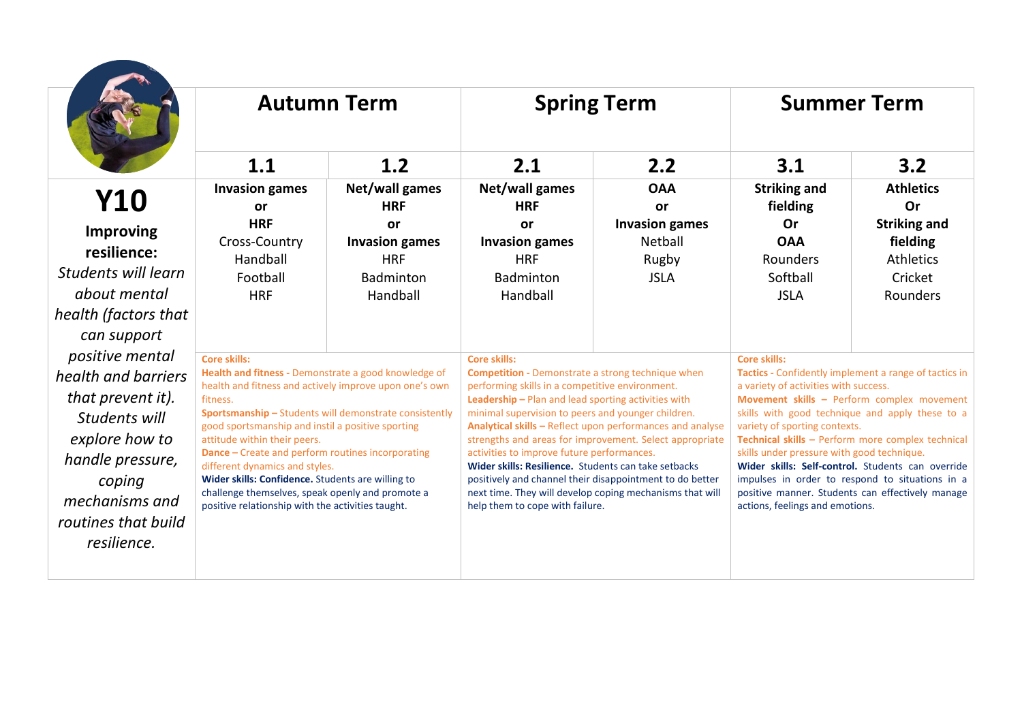|                                 | <b>Autumn Term</b>                                                                                             |                                                        |                                                                                                                 | <b>Spring Term</b>                                       |                                                                                  | <b>Summer Term</b>                                           |  |
|---------------------------------|----------------------------------------------------------------------------------------------------------------|--------------------------------------------------------|-----------------------------------------------------------------------------------------------------------------|----------------------------------------------------------|----------------------------------------------------------------------------------|--------------------------------------------------------------|--|
|                                 | 1.1                                                                                                            | 1.2                                                    | 2.1                                                                                                             | 2.2                                                      | 3.1                                                                              | 3.2                                                          |  |
| <b>Y10</b>                      | <b>Invasion games</b><br>or                                                                                    | Net/wall games<br><b>HRF</b>                           | Net/wall games<br><b>HRF</b>                                                                                    | <b>OAA</b><br><b>or</b>                                  | <b>Striking and</b><br>fielding                                                  | <b>Athletics</b><br>Or                                       |  |
| <b>Improving</b><br>resilience: | <b>HRF</b><br>Cross-Country<br>Handball                                                                        | or<br><b>Invasion games</b><br><b>HRF</b>              | <b>or</b><br><b>Invasion games</b><br><b>HRF</b>                                                                | <b>Invasion games</b><br>Netball<br>Rugby                | Or<br><b>OAA</b><br>Rounders                                                     | <b>Striking and</b><br>fielding<br><b>Athletics</b>          |  |
| Students will learn             | Football                                                                                                       | Badminton                                              | Badminton                                                                                                       | <b>JSLA</b>                                              | Softball                                                                         | Cricket                                                      |  |
| about mental                    | <b>HRF</b>                                                                                                     | Handball                                               | Handball                                                                                                        |                                                          | <b>JSLA</b>                                                                      | Rounders                                                     |  |
| health (factors that            |                                                                                                                |                                                        |                                                                                                                 |                                                          |                                                                                  |                                                              |  |
| can support                     |                                                                                                                |                                                        |                                                                                                                 |                                                          |                                                                                  |                                                              |  |
| positive mental                 | <b>Core skills:</b>                                                                                            |                                                        | <b>Core skills:</b>                                                                                             |                                                          | <b>Core skills:</b>                                                              |                                                              |  |
| health and barriers             | Health and fitness - Demonstrate a good knowledge of<br>health and fitness and actively improve upon one's own |                                                        | <b>Competition - Demonstrate a strong technique when</b><br>performing skills in a competitive environment.     |                                                          | a variety of activities with success.                                            | <b>Tactics</b> - Confidently implement a range of tactics in |  |
| that prevent it).               | fitness.                                                                                                       |                                                        | Leadership - Plan and lead sporting activities with                                                             |                                                          |                                                                                  | Movement skills - Perform complex movement                   |  |
| Students will                   |                                                                                                                | Sportsmanship - Students will demonstrate consistently | minimal supervision to peers and younger children.<br>Analytical skills - Reflect upon performances and analyse |                                                          | skills with good technique and apply these to a<br>variety of sporting contexts. |                                                              |  |
| explore how to                  | good sportsmanship and instil a positive sporting<br>attitude within their peers.                              |                                                        | strengths and areas for improvement. Select appropriate                                                         |                                                          | Technical skills - Perform more complex technical                                |                                                              |  |
| handle pressure,                | <b>Dance - Create and perform routines incorporating</b><br>different dynamics and styles.                     |                                                        | activities to improve future performances.<br>Wider skills: Resilience. Students can take setbacks              |                                                          | skills under pressure with good technique.                                       | Wider skills: Self-control. Students can override            |  |
| coping                          | Wider skills: Confidence. Students are willing to                                                              |                                                        |                                                                                                                 | positively and channel their disappointment to do better |                                                                                  | impulses in order to respond to situations in a              |  |
| mechanisms and                  | challenge themselves, speak openly and promote a<br>positive relationship with the activities taught.          |                                                        | help them to cope with failure.                                                                                 | next time. They will develop coping mechanisms that will | actions, feelings and emotions.                                                  | positive manner. Students can effectively manage             |  |
| routines that build             |                                                                                                                |                                                        |                                                                                                                 |                                                          |                                                                                  |                                                              |  |
| resilience.                     |                                                                                                                |                                                        |                                                                                                                 |                                                          |                                                                                  |                                                              |  |